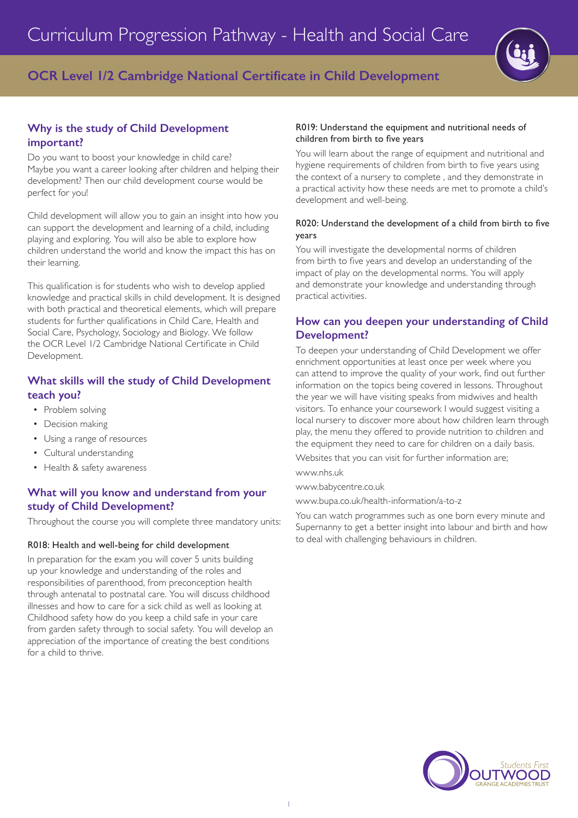

# **OCR Level 1/2 Cambridge National Certificate in Child Development**

# **Why is the study of Child Development important?**

Do you want to boost your knowledge in child care? Maybe you want a career looking after children and helping their development? Then our child development course would be perfect for you!

Child development will allow you to gain an insight into how you can support the development and learning of a child, including playing and exploring. You will also be able to explore how children understand the world and know the impact this has on their learning.

This qualification is for students who wish to develop applied knowledge and practical skills in child development. It is designed with both practical and theoretical elements, which will prepare students for further qualifications in Child Care, Health and Social Care, Psychology, Sociology and Biology. We follow the OCR Level 1/2 Cambridge National Certificate in Child Development.

### **What skills will the study of Child Development teach you?**

- Problem solving
- Decision making
- Using a range of resources
- Cultural understanding
- Health & safety awareness

# **What will you know and understand from your study of Child Development?**

Throughout the course you will complete three mandatory units:

#### R018: Health and well-being for child development

In preparation for the exam you will cover 5 units building up your knowledge and understanding of the roles and responsibilities of parenthood, from preconception health through antenatal to postnatal care. You will discuss childhood illnesses and how to care for a sick child as well as looking at Childhood safety how do you keep a child safe in your care from garden safety through to social safety. You will develop an appreciation of the importance of creating the best conditions for a child to thrive.

#### R019: Understand the equipment and nutritional needs of children from birth to five years

You will learn about the range of equipment and nutritional and hygiene requirements of children from birth to five years using the context of a nursery to complete , and they demonstrate in a practical activity how these needs are met to promote a child's development and well-being.

#### R020: Understand the development of a child from birth to five years

You will investigate the developmental norms of children from birth to five years and develop an understanding of the impact of play on the developmental norms. You will apply and demonstrate your knowledge and understanding through practical activities.

#### **How can you deepen your understanding of Child Development?**

To deepen your understanding of Child Development we offer enrichment opportunities at least once per week where you can attend to improve the quality of your work, find out further information on the topics being covered in lessons. Throughout the year we will have visiting speaks from midwives and health visitors. To enhance your coursework I would suggest visiting a local nursery to discover more about how children learn through play, the menu they offered to provide nutrition to children and the equipment they need to care for children on a daily basis.

Websites that you can visit for further information are;

www.nhs.uk

www.babycentre.co.uk

www.bupa.co.uk/health-information/a-to-z

You can watch programmes such as one born every minute and Supernanny to get a better insight into labour and birth and how to deal with challenging behaviours in children.

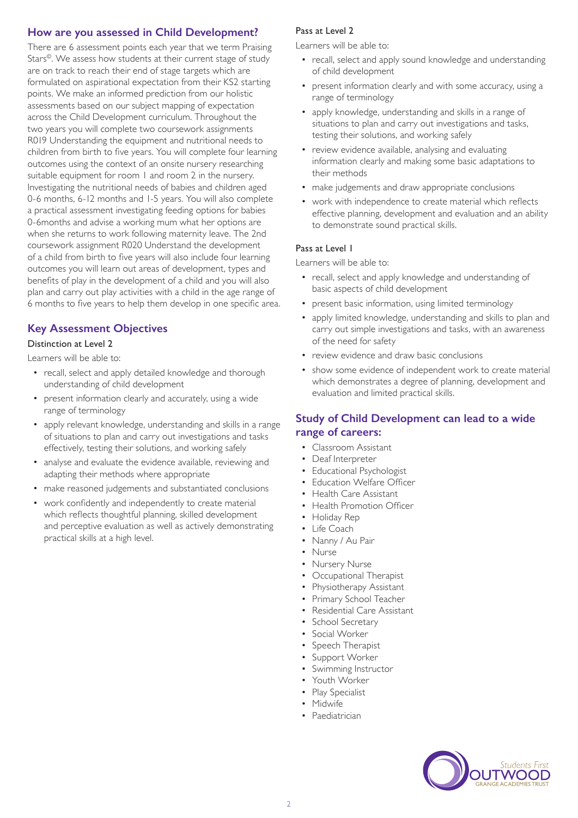### **How are you assessed in Child Development?**

There are 6 assessment points each year that we term Praising Stars©. We assess how students at their current stage of study are on track to reach their end of stage targets which are formulated on aspirational expectation from their KS2 starting points. We make an informed prediction from our holistic assessments based on our subject mapping of expectation across the Child Development curriculum. Throughout the two years you will complete two coursework assignments R019 Understanding the equipment and nutritional needs to children from birth to five years. You will complete four learning outcomes using the context of an onsite nursery researching suitable equipment for room 1 and room 2 in the nursery. Investigating the nutritional needs of babies and children aged 0-6 months, 6-12 months and 1-5 years. You will also complete a practical assessment investigating feeding options for babies 0-6months and advise a working mum what her options are when she returns to work following maternity leave. The 2nd coursework assignment R020 Understand the development of a child from birth to five years will also include four learning outcomes you will learn out areas of development, types and benefits of play in the development of a child and you will also plan and carry out play activities with a child in the age range of 6 months to five years to help them develop in one specific area.

# **Key Assessment Objectives**

#### Distinction at Level 2

Learners will be able to:

- recall, select and apply detailed knowledge and thorough understanding of child development
- present information clearly and accurately, using a wide range of terminology
- apply relevant knowledge, understanding and skills in a range of situations to plan and carry out investigations and tasks effectively, testing their solutions, and working safely
- analyse and evaluate the evidence available, reviewing and adapting their methods where appropriate
- make reasoned judgements and substantiated conclusions
- work confidently and independently to create material which reflects thoughtful planning, skilled development and perceptive evaluation as well as actively demonstrating practical skills at a high level.

#### Pass at Level 2

Learners will be able to:

- recall, select and apply sound knowledge and understanding of child development
- present information clearly and with some accuracy, using a range of terminology
- apply knowledge, understanding and skills in a range of situations to plan and carry out investigations and tasks, testing their solutions, and working safely
- review evidence available, analysing and evaluating information clearly and making some basic adaptations to their methods
- make judgements and draw appropriate conclusions
- work with independence to create material which reflects effective planning, development and evaluation and an ability to demonstrate sound practical skills.

#### Pass at Level 1

Learners will be able to:

- recall, select and apply knowledge and understanding of basic aspects of child development
- present basic information, using limited terminology
- apply limited knowledge, understanding and skills to plan and carry out simple investigations and tasks, with an awareness of the need for safety
- review evidence and draw basic conclusions
- show some evidence of independent work to create material which demonstrates a degree of planning, development and evaluation and limited practical skills.

### **Study of Child Development can lead to a wide range of careers:**

- Classroom Assistant
- Deaf Interpreter
- Educational Psychologist
- Education Welfare Officer
- Health Care Assistant
- Health Promotion Officer
- Holiday Rep
- Life Coach
- Nanny / Au Pair
- Nurse
- Nursery Nurse
- Occupational Therapist
- Physiotherapy Assistant
- Primary School Teacher
- Residential Care Assistant
- School Secretary
- Social Worker
- Speech Therapist
- Support Worker
- Swimming Instructor
- Youth Worker
- Play Specialist
- Midwife
- Paediatrician